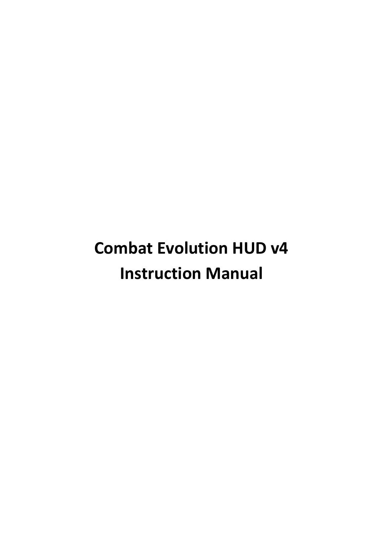# **Combat Evolution HUD v4 Instruction Manual**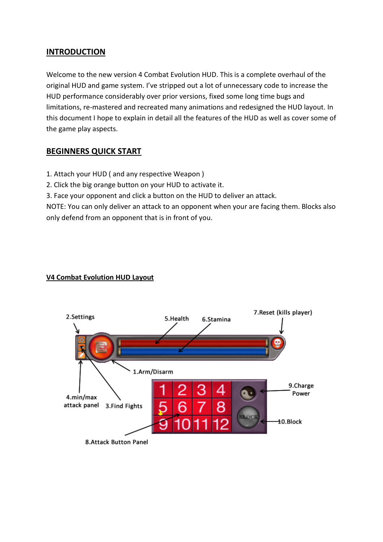#### **INTRODUCTION**

Welcome to the new version 4 Combat Evolution HUD. This is a complete overhaul of the original HUD and game system. I've stripped out a lot of unnecessary code to increase the HUD performance considerably over prior versions, fixed some long time bugs and limitations, re-mastered and recreated many animations and redesigned the HUD layout. In this document I hope to explain in detail all the features of the HUD as well as cover some of the game play aspects.

# **BEGINNERS QUICK START**

- 1. Attach your HUD ( and any respective Weapon )
- 2. Click the big orange button on your HUD to activate it.
- 3. Face your opponent and click a button on the HUD to deliver an attack.

NOTE: You can only deliver an attack to an opponent when your are facing them. Blocks also only defend from an opponent that is in front of you.

#### **V4 Combat Evolution HUD Layout**

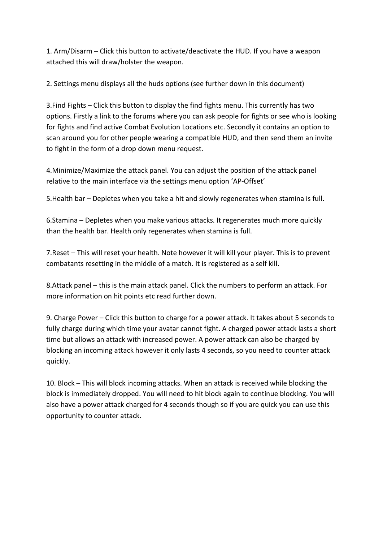1. Arm/Disarm – Click this button to activate/deactivate the HUD. If you have a weapon attached this will draw/holster the weapon.

2. Settings menu displays all the huds options (see further down in this document)

3.Find Fights – Click this button to display the find fights menu. This currently has two options. Firstly a link to the forums where you can ask people for fights or see who is looking for fights and find active Combat Evolution Locations etc. Secondly it contains an option to scan around you for other people wearing a compatible HUD, and then send them an invite to fight in the form of a drop down menu request.

4.Minimize/Maximize the attack panel. You can adjust the position of the attack panel relative to the main interface via the settings menu option 'AP-Offset'

5.Health bar – Depletes when you take a hit and slowly regenerates when stamina is full.

6.Stamina – Depletes when you make various attacks. It regenerates much more quickly than the health bar. Health only regenerates when stamina is full.

7.Reset – This will reset your health. Note however it will kill your player. This is to prevent combatants resetting in the middle of a match. It is registered as a self kill.

8.Attack panel – this is the main attack panel. Click the numbers to perform an attack. For more information on hit points etc read further down.

9. Charge Power – Click this button to charge for a power attack. It takes about 5 seconds to fully charge during which time your avatar cannot fight. A charged power attack lasts a short time but allows an attack with increased power. A power attack can also be charged by blocking an incoming attack however it only lasts 4 seconds, so you need to counter attack quickly.

10. Block – This will block incoming attacks. When an attack is received while blocking the block is immediately dropped. You will need to hit block again to continue blocking. You will also have a power attack charged for 4 seconds though so if you are quick you can use this opportunity to counter attack.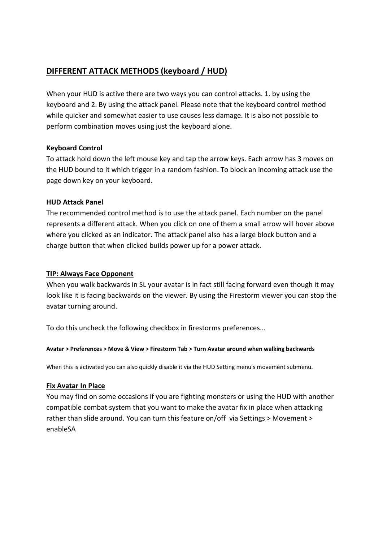# **DIFFERENT ATTACK METHODS (keyboard / HUD)**

When your HUD is active there are two ways you can control attacks. 1. by using the keyboard and 2. By using the attack panel. Please note that the keyboard control method while quicker and somewhat easier to use causes less damage. It is also not possible to perform combination moves using just the keyboard alone.

#### **Keyboard Control**

To attack hold down the left mouse key and tap the arrow keys. Each arrow has 3 moves on the HUD bound to it which trigger in a random fashion. To block an incoming attack use the page down key on your keyboard.

#### **HUD Attack Panel**

The recommended control method is to use the attack panel. Each number on the panel represents a different attack. When you click on one of them a small arrow will hover above where you clicked as an indicator. The attack panel also has a large block button and a charge button that when clicked builds power up for a power attack.

#### **TIP: Always Face Opponent**

When you walk backwards in SL your avatar is in fact still facing forward even though it may look like it is facing backwards on the viewer. By using the Firestorm viewer you can stop the avatar turning around.

To do this uncheck the following checkbox in firestorms preferences...

#### **Avatar > Preferences > Move & View > Firestorm Tab > Turn Avatar around when walking backwards**

When this is activated you can also quickly disable it via the HUD Setting menu's movement submenu.

#### **Fix Avatar In Place**

You may find on some occasions if you are fighting monsters or using the HUD with another compatible combat system that you want to make the avatar fix in place when attacking rather than slide around. You can turn this feature on/off via Settings > Movement > enableSA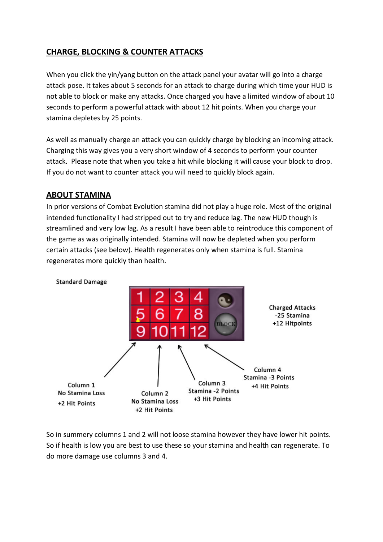# **CHARGE, BLOCKING & COUNTER ATTACKS**

When you click the yin/yang button on the attack panel your avatar will go into a charge attack pose. It takes about 5 seconds for an attack to charge during which time your HUD is not able to block or make any attacks. Once charged you have a limited window of about 10 seconds to perform a powerful attack with about 12 hit points. When you charge your stamina depletes by 25 points.

As well as manually charge an attack you can quickly charge by blocking an incoming attack. Charging this way gives you a very short window of 4 seconds to perform your counter attack. Please note that when you take a hit while blocking it will cause your block to drop. If you do not want to counter attack you will need to quickly block again.

## **ABOUT STAMINA**

In prior versions of Combat Evolution stamina did not play a huge role. Most of the original intended functionality I had stripped out to try and reduce lag. The new HUD though is streamlined and very low lag. As a result I have been able to reintroduce this component of the game as was originally intended. Stamina will now be depleted when you perform certain attacks (see below). Health regenerates only when stamina is full. Stamina regenerates more quickly than health.



So in summery columns 1 and 2 will not loose stamina however they have lower hit points. So if health is low you are best to use these so your stamina and health can regenerate. To do more damage use columns 3 and 4.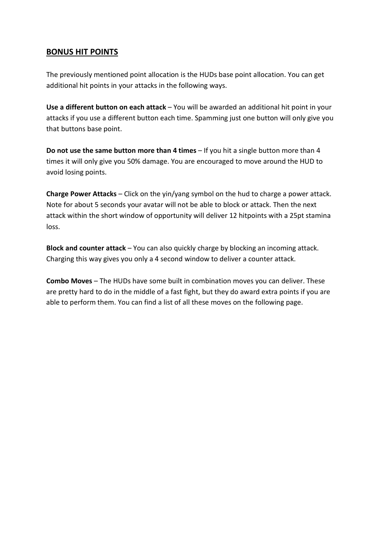# **BONUS HIT POINTS**

The previously mentioned point allocation is the HUDs base point allocation. You can get additional hit points in your attacks in the following ways.

**Use a different button on each attack** – You will be awarded an additional hit point in your attacks if you use a different button each time. Spamming just one button will only give you that buttons base point.

**Do not use the same button more than 4 times** – If you hit a single button more than 4 times it will only give you 50% damage. You are encouraged to move around the HUD to avoid losing points.

**Charge Power Attacks** – Click on the yin/yang symbol on the hud to charge a power attack. Note for about 5 seconds your avatar will not be able to block or attack. Then the next attack within the short window of opportunity will deliver 12 hitpoints with a 25pt stamina loss.

**Block and counter attack** – You can also quickly charge by blocking an incoming attack. Charging this way gives you only a 4 second window to deliver a counter attack.

**Combo Moves** – The HUDs have some built in combination moves you can deliver. These are pretty hard to do in the middle of a fast fight, but they do award extra points if you are able to perform them. You can find a list of all these moves on the following page.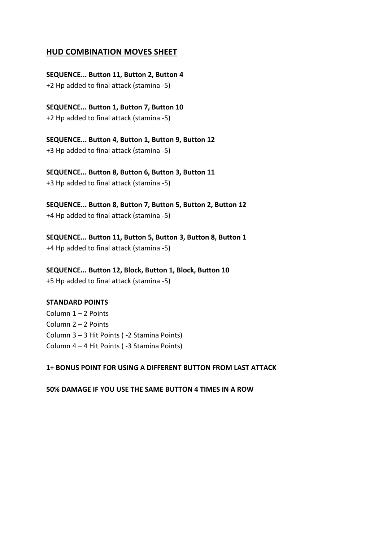#### **HUD COMBINATION MOVES SHEET**

**SEQUENCE... Button 11, Button 2, Button 4** +2 Hp added to final attack (stamina -5)

**SEQUENCE... Button 1, Button 7, Button 10** +2 Hp added to final attack (stamina -5)

**SEQUENCE... Button 4, Button 1, Button 9, Button 12** +3 Hp added to final attack (stamina -5)

**SEQUENCE... Button 8, Button 6, Button 3, Button 11** +3 Hp added to final attack (stamina -5)

**SEQUENCE... Button 8, Button 7, Button 5, Button 2, Button 12** +4 Hp added to final attack (stamina -5)

**SEQUENCE... Button 11, Button 5, Button 3, Button 8, Button 1** +4 Hp added to final attack (stamina -5)

**SEQUENCE... Button 12, Block, Button 1, Block, Button 10** +5 Hp added to final attack (stamina -5)

#### **STANDARD POINTS**

Column 1 – 2 Points Column 2 – 2 Points Column 3 – 3 Hit Points ( -2 Stamina Points) Column 4 – 4 Hit Points ( -3 Stamina Points)

**1+ BONUS POINT FOR USING A DIFFERENT BUTTON FROM LAST ATTACK**

**50% DAMAGE IF YOU USE THE SAME BUTTON 4 TIMES IN A ROW**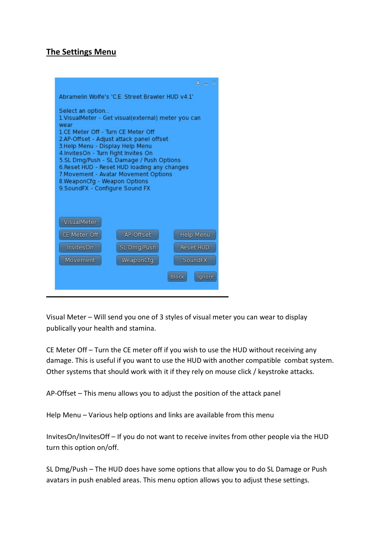# **The Settings Menu**

|                                                                                                                                                                                                                                                                                                                                                                                                                                                    |             | $\pm$ $ \times$ |
|----------------------------------------------------------------------------------------------------------------------------------------------------------------------------------------------------------------------------------------------------------------------------------------------------------------------------------------------------------------------------------------------------------------------------------------------------|-------------|-----------------|
| Abramelin Wolfe's 'C.E. Street Brawler HUD v4.1'                                                                                                                                                                                                                                                                                                                                                                                                   |             |                 |
| Select an option<br>1. VisualMeter - Get visual(external) meter you can<br>wear<br>1.CE Meter Off - Turn CE Meter Off<br>2.AP-Offset - Adjust attack panel offset<br>3.Help Menu - Display Help Menu<br>4.InvitesOn - Turn Fight Invites On<br>5.SL Dmg/Push - SL Damage / Push Options<br>6. Reset HUD - Reset HUD loading any changes<br>7. Movement - Avatar Movement Options<br>8.WeaponCfg - Weapon Options<br>9.SoundFX - Configure Sound FX |             |                 |
| VisualMeter                                                                                                                                                                                                                                                                                                                                                                                                                                        |             |                 |
| CE Meter Off                                                                                                                                                                                                                                                                                                                                                                                                                                       | AP-Offset   | Help Menu       |
| InvitesOn                                                                                                                                                                                                                                                                                                                                                                                                                                          | SL Dmg/Push | Reset HUD       |
| Movement                                                                                                                                                                                                                                                                                                                                                                                                                                           | WeaponCfg   | SoundFX         |
| Block<br>Ignore                                                                                                                                                                                                                                                                                                                                                                                                                                    |             |                 |

Visual Meter – Will send you one of 3 styles of visual meter you can wear to display publically your health and stamina.

CE Meter Off – Turn the CE meter off if you wish to use the HUD without receiving any damage. This is useful if you want to use the HUD with another compatible combat system. Other systems that should work with it if they rely on mouse click / keystroke attacks.

AP-Offset – This menu allows you to adjust the position of the attack panel

Help Menu – Various help options and links are available from this menu

InvitesOn/InvitesOff – If you do not want to receive invites from other people via the HUD turn this option on/off.

SL Dmg/Push – The HUD does have some options that allow you to do SL Damage or Push avatars in push enabled areas. This menu option allows you to adjust these settings.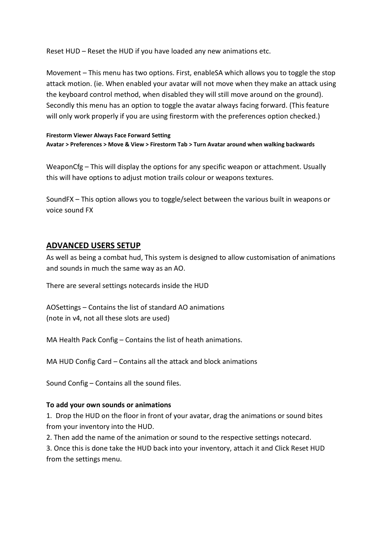Reset HUD – Reset the HUD if you have loaded any new animations etc.

Movement – This menu has two options. First, enableSA which allows you to toggle the stop attack motion. (ie. When enabled your avatar will not move when they make an attack using the keyboard control method, when disabled they will still move around on the ground). Secondly this menu has an option to toggle the avatar always facing forward. (This feature will only work properly if you are using firestorm with the preferences option checked.)

#### **Firestorm Viewer Always Face Forward Setting Avatar > Preferences > Move & View > Firestorm Tab > Turn Avatar around when walking backwards**

WeaponCfg – This will display the options for any specific weapon or attachment. Usually this will have options to adjust motion trails colour or weapons textures.

SoundFX – This option allows you to toggle/select between the various built in weapons or voice sound FX

## **ADVANCED USERS SETUP**

As well as being a combat hud, This system is designed to allow customisation of animations and sounds in much the same way as an AO.

There are several settings notecards inside the HUD

AOSettings – Contains the list of standard AO animations (note in v4, not all these slots are used)

MA Health Pack Config – Contains the list of heath animations.

MA HUD Config Card – Contains all the attack and block animations

Sound Config – Contains all the sound files.

#### **To add your own sounds or animations**

1. Drop the HUD on the floor in front of your avatar, drag the animations or sound bites from your inventory into the HUD.

2. Then add the name of the animation or sound to the respective settings notecard.

3. Once this is done take the HUD back into your inventory, attach it and Click Reset HUD from the settings menu.